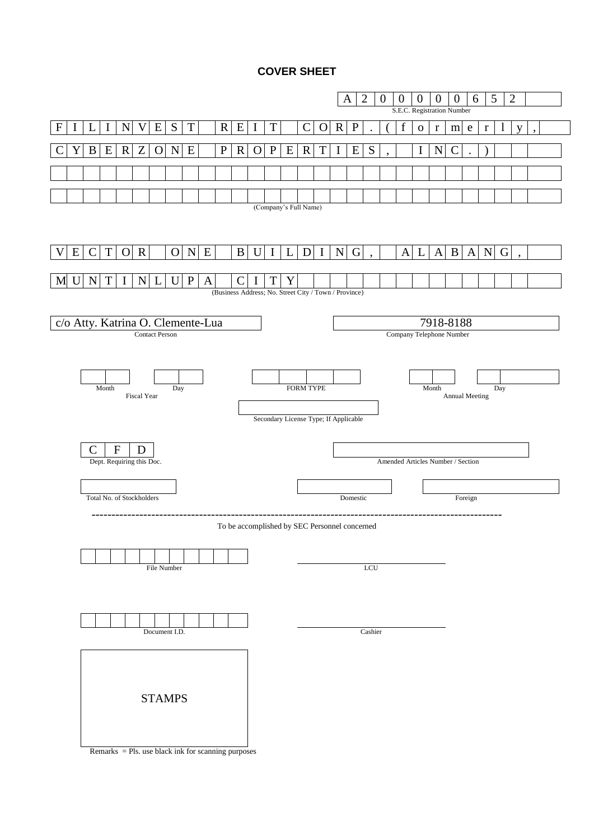## **COVER SHEET**

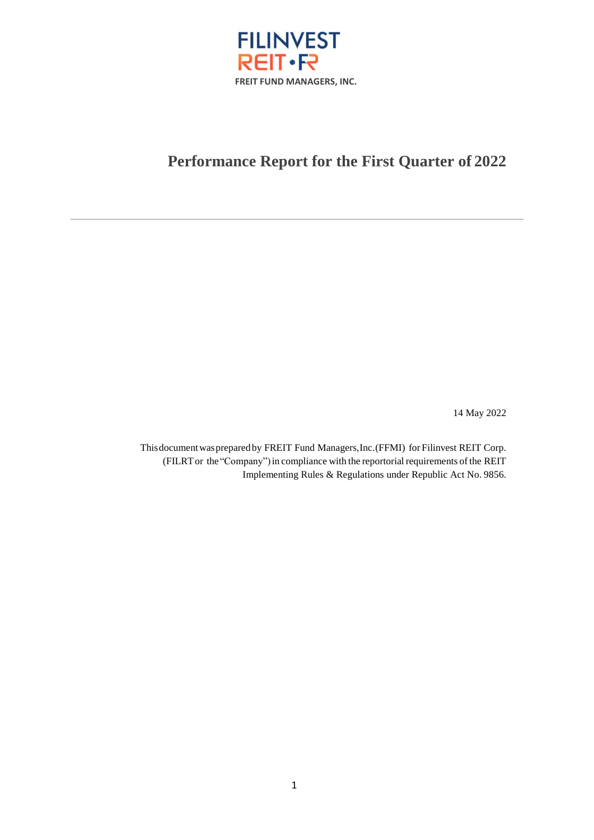

# Performance Report for the First Quarter of 2022

14 May 2022

This document was prepared by FREIT Fund Managers, Inc. (FFMI) for Filinvest REIT Corp. (FILRT or the "Company") in compliance with the reportorial requirements of the REIT Implementing Rules & Regulations under Republic Act No. 9856.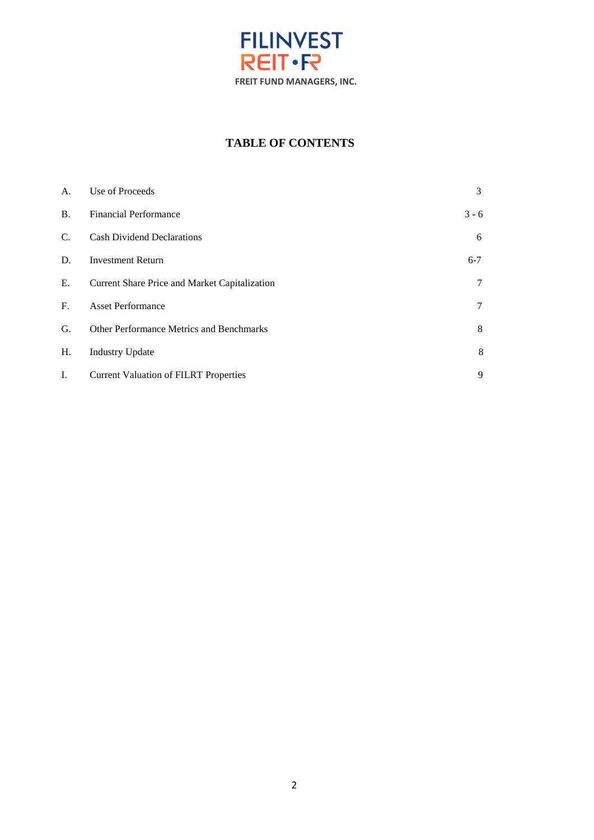

# **TABLE OF CONTENTS**

| A.          | Use of Proceeds                               | 3       |
|-------------|-----------------------------------------------|---------|
| <b>B.</b>   | <b>Financial Performance</b>                  | $3 - 6$ |
| $C_{\cdot}$ | <b>Cash Dividend Declarations</b>             | 6       |
| D.          | <b>Investment Return</b>                      | $6 - 7$ |
| E.          | Current Share Price and Market Capitalization | 7       |
| $F_{\cdot}$ | <b>Asset Performance</b>                      | 7       |
| G.          | Other Performance Metrics and Benchmarks      | 8       |
| Η.          | <b>Industry Update</b>                        | 8       |
| I.          | <b>Current Valuation of FILRT Properties</b>  | 9       |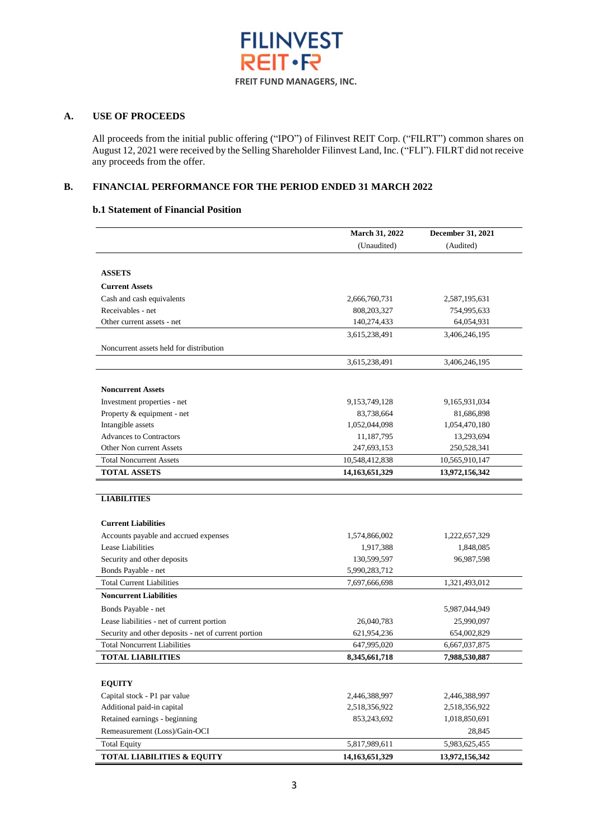

#### **A. USE OF PROCEEDS**

All proceeds from the initial public offering ("IPO") of Filinvest REIT Corp. ("FILRT") common shares on August 12, 2021 were received by the Selling Shareholder Filinvest Land, Inc. ("FLI"). FILRT did not receive any proceeds from the offer.

#### **B. FINANCIAL PERFORMANCE FOR THE PERIOD ENDED 31 MARCH 2022**

#### **b.1 Statement of Financial Position**

|                                                      | March 31, 2022    | December 31, 2021 |
|------------------------------------------------------|-------------------|-------------------|
|                                                      | (Unaudited)       | (Audited)         |
|                                                      |                   |                   |
| <b>ASSETS</b>                                        |                   |                   |
| <b>Current Assets</b>                                |                   |                   |
| Cash and cash equivalents                            | 2,666,760,731     | 2,587,195,631     |
| Receivables - net                                    | 808, 203, 327     | 754,995,633       |
| Other current assets - net                           | 140,274,433       | 64,054,931        |
|                                                      | 3,615,238,491     | 3,406,246,195     |
| Noncurrent assets held for distribution              |                   |                   |
|                                                      | 3,615,238,491     | 3,406,246,195     |
| <b>Noncurrent Assets</b>                             |                   |                   |
| Investment properties - net                          | 9, 153, 749, 128  | 9,165,931,034     |
| Property & equipment - net                           | 83,738,664        | 81,686,898        |
| Intangible assets                                    | 1,052,044,098     | 1,054,470,180     |
| <b>Advances to Contractors</b>                       | 11,187,795        | 13,293,694        |
| Other Non current Assets                             | 247,693,153       | 250,528,341       |
| <b>Total Noncurrent Assets</b>                       | 10,548,412,838    | 10,565,910,147    |
| <b>TOTAL ASSETS</b>                                  | 14, 163, 651, 329 | 13,972,156,342    |
|                                                      |                   |                   |
| <b>LIABILITIES</b>                                   |                   |                   |
| <b>Current Liabilities</b>                           |                   |                   |
| Accounts payable and accrued expenses                | 1,574,866,002     | 1,222,657,329     |
| Lease Liabilities                                    | 1,917,388         | 1,848,085         |
| Security and other deposits                          | 130,599,597       | 96,987,598        |
| Bonds Payable - net                                  | 5,990,283,712     |                   |
| <b>Total Current Liabilities</b>                     | 7,697,666,698     | 1,321,493,012     |
| <b>Noncurrent Liabilities</b>                        |                   |                   |
| Bonds Payable - net                                  |                   | 5,987,044,949     |
| Lease liabilities - net of current portion           | 26,040,783        | 25,990,097        |
| Security and other deposits - net of current portion | 621,954,236       | 654,002,829       |
| <b>Total Noncurrent Liabilities</b>                  | 647,995,020       | 6,667,037,875     |
| <b>TOTAL LIABILITIES</b>                             | 8,345,661,718     | 7,988,530,887     |
|                                                      |                   |                   |
| <b>EQUITY</b>                                        |                   |                   |
| Capital stock - P1 par value                         | 2,446,388,997     | 2,446,388,997     |
| Additional paid-in capital                           | 2,518,356,922     | 2,518,356,922     |
| Retained earnings - beginning                        | 853,243,692       | 1,018,850,691     |
| Remeasurement (Loss)/Gain-OCI                        |                   | 28,845            |
| <b>Total Equity</b>                                  | 5,817,989,611     | 5,983,625,455     |
| <b>TOTAL LIABILITIES &amp; EQUITY</b>                | 14, 163, 651, 329 | 13,972,156,342    |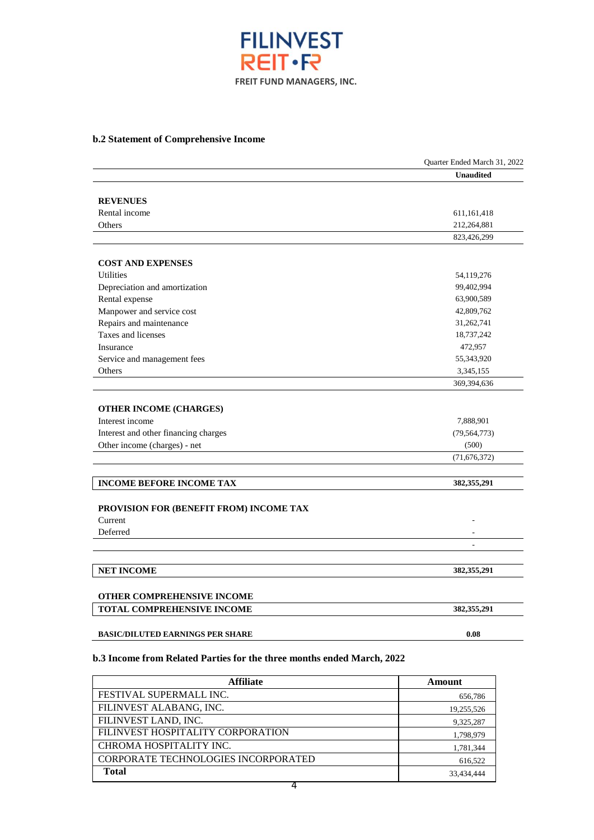

### **b.2 Statement of Comprehensive Income**

|                                         | Quarter Ended March 31, 2022 |
|-----------------------------------------|------------------------------|
|                                         | <b>Unaudited</b>             |
|                                         |                              |
| <b>REVENUES</b>                         |                              |
| Rental income                           | 611, 161, 418                |
| Others                                  | 212,264,881                  |
|                                         | 823,426,299                  |
|                                         |                              |
| <b>COST AND EXPENSES</b>                |                              |
| <b>Utilities</b>                        | 54,119,276                   |
| Depreciation and amortization           | 99,402,994                   |
| Rental expense                          | 63,900,589                   |
| Manpower and service cost               | 42,809,762                   |
| Repairs and maintenance                 | 31,262,741                   |
| Taxes and licenses                      | 18,737,242                   |
| Insurance                               | 472,957                      |
| Service and management fees             | 55,343,920                   |
| Others                                  | 3,345,155                    |
|                                         | 369,394,636                  |
| <b>OTHER INCOME (CHARGES)</b>           |                              |
| Interest income                         | 7,888,901                    |
| Interest and other financing charges    | (79, 564, 773)               |
| Other income (charges) - net            | (500)                        |
|                                         | (71, 676, 372)               |
|                                         |                              |
| <b>INCOME BEFORE INCOME TAX</b>         | 382,355,291                  |
|                                         |                              |
| PROVISION FOR (BENEFIT FROM) INCOME TAX |                              |
| Current                                 |                              |
| Deferred                                | $\overline{a}$               |
|                                         |                              |
| <b>NET INCOME</b>                       | 382,355,291                  |
|                                         |                              |
| OTHER COMPREHENSIVE INCOME              |                              |
| TOTAL COMPREHENSIVE INCOME              | 382,355,291                  |
| <b>BASIC/DILUTED EARNINGS PER SHARE</b> | 0.08                         |
|                                         |                              |

#### **b.3 Income from Related Parties for the three months ended March, 2022**

| <b>Affiliate</b>                           | Amount     |
|--------------------------------------------|------------|
| FESTIVAL SUPERMALL INC.                    | 656,786    |
| FILINVEST ALABANG, INC.                    | 19,255,526 |
| FILINVEST LAND, INC.                       | 9,325,287  |
| FILINVEST HOSPITALITY CORPORATION          | 1,798,979  |
| CHROMA HOSPITALITY INC.                    | 1,781,344  |
| <b>CORPORATE TECHNOLOGIES INCORPORATED</b> | 616,522    |
| <b>Total</b>                               | 33.434.444 |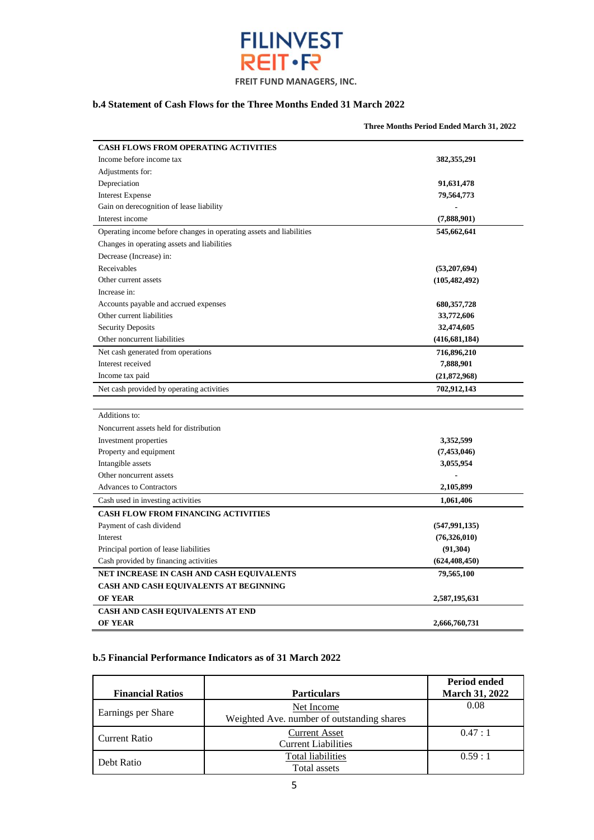

#### **b.4 Statement of Cash Flows for the Three Months Ended 31 March 2022**

| <b>CASH FLOWS FROM OPERATING ACTIVITIES</b>                         |                 |
|---------------------------------------------------------------------|-----------------|
| Income before income tax                                            | 382,355,291     |
| Adjustments for:                                                    |                 |
| Depreciation                                                        | 91,631,478      |
| <b>Interest Expense</b>                                             | 79,564,773      |
| Gain on derecognition of lease liability                            |                 |
| Interest income                                                     | (7,888,901)     |
| Operating income before changes in operating assets and liabilities | 545,662,641     |
| Changes in operating assets and liabilities                         |                 |
| Decrease (Increase) in:                                             |                 |
| Receivables                                                         | (53,207,694)    |
| Other current assets                                                | (105, 482, 492) |
| Increase in:                                                        |                 |
| Accounts payable and accrued expenses                               | 680, 357, 728   |
| Other current liabilities                                           | 33,772,606      |
| <b>Security Deposits</b>                                            | 32,474,605      |
| Other noncurrent liabilities                                        | (416, 681, 184) |
| Net cash generated from operations                                  | 716,896,210     |
| Interest received                                                   | 7,888,901       |
| Income tax paid                                                     | (21,872,968)    |
| Net cash provided by operating activities                           | 702,912,143     |
|                                                                     |                 |
| Additions to:                                                       |                 |
| Noncurrent assets held for distribution                             |                 |
| Investment properties                                               | 3,352,599       |
| Property and equipment                                              | (7,453,046)     |
| Intangible assets                                                   | 3,055,954       |
| Other noncurrent assets                                             |                 |
| <b>Advances to Contractors</b>                                      | 2,105,899       |
| Cash used in investing activities                                   | 1,061,406       |
| <b>CASH FLOW FROM FINANCING ACTIVITIES</b>                          |                 |
| Payment of cash dividend                                            | (547, 991, 135) |
| Interest                                                            | (76,326,010)    |
| Principal portion of lease liabilities                              | (91, 304)       |
| Cash provided by financing activities                               | (624, 408, 450) |
| NET INCREASE IN CASH AND CASH EQUIVALENTS                           | 79,565,100      |
| CASH AND CASH EQUIVALENTS AT BEGINNING                              |                 |
| <b>OF YEAR</b>                                                      | 2,587,195,631   |
| <b>CASH AND CASH EQUIVALENTS AT END</b>                             |                 |
| <b>OF YEAR</b>                                                      | 2,666,760,731   |

#### **b.5 Financial Performance Indicators as of 31 March 2022**

|                         |                                            | <b>Period ended</b>   |
|-------------------------|--------------------------------------------|-----------------------|
| <b>Financial Ratios</b> | <b>Particulars</b>                         | <b>March 31, 2022</b> |
| Earnings per Share      | Net Income                                 | 0.08                  |
|                         | Weighted Ave. number of outstanding shares |                       |
| <b>Current Ratio</b>    | <b>Current Asset</b>                       | 0.47:1                |
|                         | <b>Current Liabilities</b>                 |                       |
| Debt Ratio              | Total liabilities                          | 0.59:1                |
|                         | Total assets                               |                       |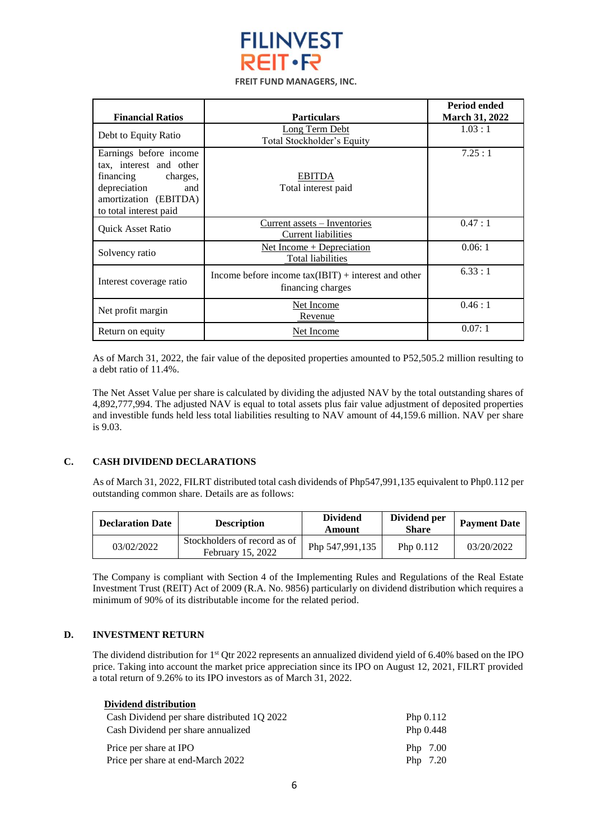

| <b>Financial Ratios</b>                                                                                                                              | <b>Particulars</b>                                                         | Period ended<br>March 31, 2022 |
|------------------------------------------------------------------------------------------------------------------------------------------------------|----------------------------------------------------------------------------|--------------------------------|
| Debt to Equity Ratio                                                                                                                                 | <b>Long Term Debt</b><br>Total Stockholder's Equity                        | 1.03:1                         |
| Earnings before income<br>tax, interest and other<br>financing<br>charges,<br>depreciation<br>and<br>amortization (EBITDA)<br>to total interest paid | <b>EBITDA</b><br>Total interest paid                                       | 7.25:1                         |
| <b>Quick Asset Ratio</b>                                                                                                                             | <u>Current</u> assets – Inventories<br>Current liabilities                 | 0.47:1                         |
| Solvency ratio                                                                                                                                       | Net Income $+$ Depreciation<br><b>Total liabilities</b>                    | 0.06:1                         |
| Interest coverage ratio                                                                                                                              | Income before income $tax(IBIT) + interest$ and other<br>financing charges | 6.33:1                         |
| Net profit margin                                                                                                                                    | Net Income<br>Revenue                                                      | 0.46:1                         |
| Return on equity                                                                                                                                     | Net Income                                                                 | 0.07:1                         |

As of March 31, 2022, the fair value of the deposited properties amounted to P52,505.2 million resulting to a debt ratio of 11.4%.

The Net Asset Value per share is calculated by dividing the adjusted NAV by the total outstanding shares of 4,892,777,994. The adjusted NAV is equal to total assets plus fair value adjustment of deposited properties and investible funds held less total liabilities resulting to NAV amount of 44,159.6 million. NAV per share is 9.03.

#### **C. CASH DIVIDEND DECLARATIONS**

As of March 31, 2022, FILRT distributed total cash dividends of Php547,991,135 equivalent to Php0.112 per outstanding common share. Details are as follows:

| <b>Declaration Date</b> | <b>Description</b>                                | <b>Dividend</b><br>Amount | Dividend per<br>Share | <b>Payment Date</b> |
|-------------------------|---------------------------------------------------|---------------------------|-----------------------|---------------------|
| 03/02/2022              | Stockholders of record as of<br>February 15, 2022 | Php 547,991,135           | Php $0.112$           | 03/20/2022          |

The Company is compliant with Section 4 of the Implementing Rules and Regulations of the Real Estate Investment Trust (REIT) Act of 2009 (R.A. No. 9856) particularly on dividend distribution which requires a minimum of 90% of its distributable income for the related period.

#### **D. INVESTMENT RETURN**

The dividend distribution for 1<sup>st</sup> Qtr 2022 represents an annualized dividend yield of 6.40% based on the IPO price. Taking into account the market price appreciation since its IPO on August 12, 2021, FILRT provided a total return of 9.26% to its IPO investors as of March 31, 2022.

| Dividend distribution                       |             |
|---------------------------------------------|-------------|
| Cash Dividend per share distributed 1Q 2022 | Php $0.112$ |
| Cash Dividend per share annualized          | Php $0.448$ |
| Price per share at IPO                      | Php 7.00    |
| Price per share at end-March 2022           | Php 7.20    |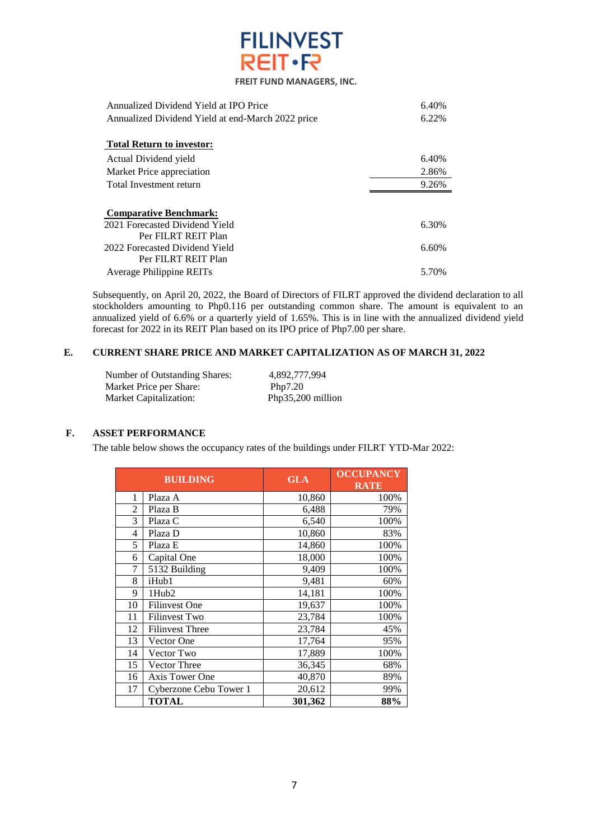

| Annualized Dividend Yield at IPO Price            | 6.40% |
|---------------------------------------------------|-------|
| Annualized Dividend Yield at end-March 2022 price | 6.22% |
|                                                   |       |
| <b>Total Return to investor:</b>                  |       |
| Actual Dividend yield                             | 6.40% |
| Market Price appreciation                         | 2.86% |
| Total Investment return                           | 9.26% |
|                                                   |       |
| <b>Comparative Benchmark:</b>                     |       |
| 2021 Forecasted Dividend Yield                    | 6.30% |
| Per FILRT REIT Plan                               |       |
| 2022 Forecasted Dividend Yield                    | 6.60% |
| Per FILRT REIT Plan                               |       |
| Average Philippine REITs                          | 5.70% |

Subsequently, on April 20, 2022, the Board of Directors of FILRT approved the dividend declaration to all stockholders amounting to Php0.116 per outstanding common share. The amount is equivalent to an annualized yield of 6.6% or a quarterly yield of 1.65%. This is in line with the annualized dividend yield forecast for 2022 in its REIT Plan based on its IPO price of Php7.00 per share.

#### **E. CURRENT SHARE PRICE AND MARKET CAPITALIZATION AS OF MARCH 31, 2022**

Number of Outstanding Shares: 4,892,777,994<br>Market Price per Share: Php7.20 Market Price per Share: Php7.20<br>
Market Capitalization: Php35,200 million Market Capitalization:

#### **F. ASSET PERFORMANCE**

The table below shows the occupancy rates of the buildings under FILRT YTD-Mar 2022:

| <b>BUILDING</b> |                        | <b>GLA</b> | <b>OCCUPANCY</b><br><b>RATE</b> |
|-----------------|------------------------|------------|---------------------------------|
| 1               | Plaza A                | 10,860     | 100%                            |
| $\overline{2}$  | Plaza B                | 6,488      | 79%                             |
| 3               | Plaza C                | 6,540      | 100%                            |
| 4               | Plaza D                | 10,860     | 83%                             |
| 5               | Plaza E                | 14,860     | 100%                            |
| 6               | Capital One            | 18,000     | 100%                            |
| 7               | 5132 Building          | 9,409      | 100%                            |
| 8               | iHub1                  | 9,481      | 60%                             |
| 9               | 1Hub <sub>2</sub>      | 14,181     | 100%                            |
| 10              | <b>Filinvest One</b>   | 19,637     | 100%                            |
| 11              | <b>Filinvest Two</b>   | 23,784     | 100%                            |
| 12              | <b>Filinvest Three</b> | 23,784     | 45%                             |
| 13              | Vector One             | 17,764     | 95%                             |
| 14              | Vector Two             | 17,889     | 100%                            |
| 15              | <b>Vector Three</b>    | 36,345     | 68%                             |
| 16              | Axis Tower One         | 40,870     | 89%                             |
| 17              | Cyberzone Cebu Tower 1 | 20,612     | 99%                             |
|                 | <b>TOTAL</b>           | 301,362    | 88%                             |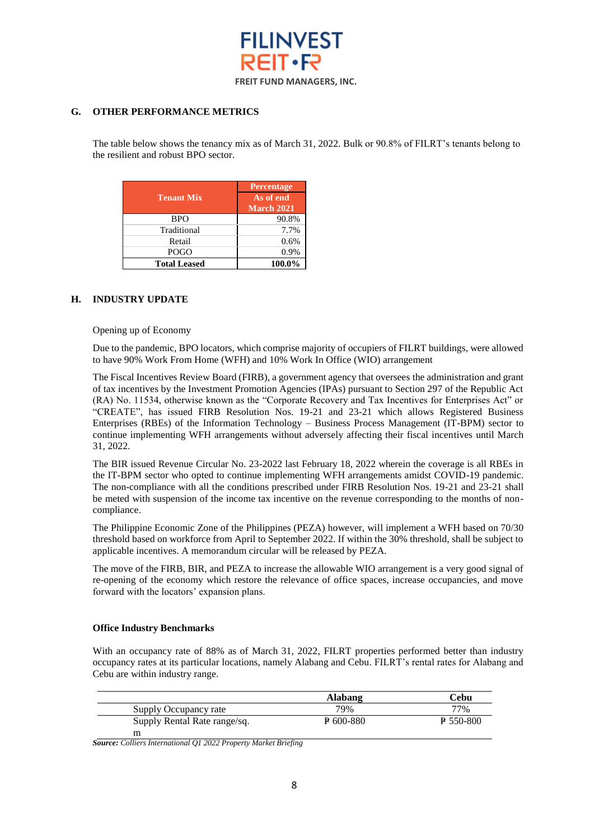

#### **G. OTHER PERFORMANCE METRICS**

The table below shows the tenancy mix as of March 31, 2022. Bulk or 90.8% of FILRT's tenants belong to the resilient and robust BPO sector.

| <b>Tenant Mix</b>   | <b>Percentage</b><br>As of end<br>March 2021 |
|---------------------|----------------------------------------------|
| <b>BPO</b>          | 90.8%                                        |
| Traditional         | 7.7%                                         |
| Retail              | 0.6%                                         |
| <b>POGO</b>         | 0.9%                                         |
| <b>Total Leased</b> | 100.0%                                       |

#### **H. INDUSTRY UPDATE**

Opening up of Economy

Due to the pandemic, BPO locators, which comprise majority of occupiers of FILRT buildings, were allowed to have 90% Work From Home (WFH) and 10% Work In Office (WIO) arrangement

The Fiscal Incentives Review Board (FIRB), a government agency that oversees the administration and grant of tax incentives by the Investment Promotion Agencies (IPAs) pursuant to Section 297 of the Republic Act (RA) No. 11534, otherwise known as the "Corporate Recovery and Tax Incentives for Enterprises Act" or "CREATE", has issued FIRB Resolution Nos. 19-21 and 23-21 which allows Registered Business Enterprises (RBEs) of the Information Technology – Business Process Management (IT-BPM) sector to continue implementing WFH arrangements without adversely affecting their fiscal incentives until March 31, 2022.

The BIR issued Revenue Circular No. 23-2022 last February 18, 2022 wherein the coverage is all RBEs in the IT-BPM sector who opted to continue implementing WFH arrangements amidst COVID-19 pandemic. The non-compliance with all the conditions prescribed under FIRB Resolution Nos. 19-21 and 23-21 shall be meted with suspension of the income tax incentive on the revenue corresponding to the months of noncompliance.

The Philippine Economic Zone of the Philippines (PEZA) however, will implement a WFH based on 70/30 threshold based on workforce from April to September 2022. If within the 30% threshold, shall be subject to applicable incentives. A memorandum circular will be released by PEZA.

The move of the FIRB, BIR, and PEZA to increase the allowable WIO arrangement is a very good signal of re-opening of the economy which restore the relevance of office spaces, increase occupancies, and move forward with the locators' expansion plans.

#### **Office Industry Benchmarks**

With an occupancy rate of 88% as of March 31, 2022, FILRT properties performed better than industry occupancy rates at its particular locations, namely Alabang and Cebu. FILRT's rental rates for Alabang and Cebu are within industry range.

|                              | <b>Alabang</b> | ∵ebu        |
|------------------------------|----------------|-------------|
| Supply Occupancy rate        | 79%            | 77%         |
| Supply Rental Rate range/sq. | $E$ 600-880    | $E$ 550-800 |
| m                            |                |             |

*Source: Colliers International Q1 2022 Property Market Briefing*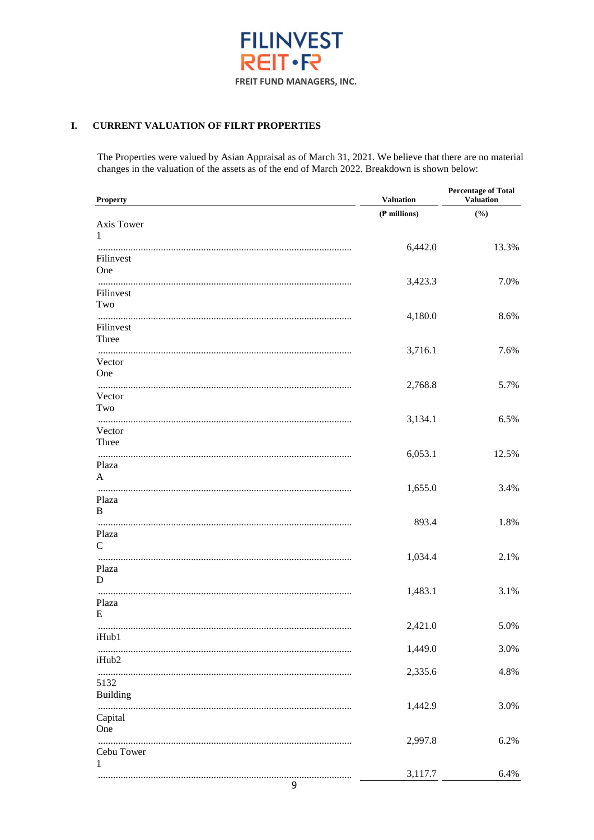

#### **CURRENT VALUATION OF FILRT PROPERTIES** I.

The Properties were valued by Asian Appraisal as of March 31, 2021. We believe that there are no material changes in the valuation of the assets as of the end of March 2022. Breakdown is shown below:

| <b>Property</b>    | <b>Valuation</b> | <b>Percentage of Total</b><br><b>Valuation</b> |
|--------------------|------------------|------------------------------------------------|
|                    | (P millions)     | (%)                                            |
| Axis Tower         |                  |                                                |
| 1                  |                  |                                                |
| Filinvest          | 6,442.0          | 13.3%                                          |
| One                |                  |                                                |
|                    | 3,423.3          | 7.0%                                           |
| Filinvest          |                  |                                                |
| Two                |                  |                                                |
|                    | 4,180.0          | 8.6%                                           |
| Filinvest<br>Three |                  |                                                |
|                    | 3,716.1          | 7.6%                                           |
| Vector             |                  |                                                |
| One                |                  |                                                |
|                    | 2,768.8          | 5.7%                                           |
| Vector<br>Two      |                  |                                                |
|                    | 3,134.1          | 6.5%                                           |
| Vector             |                  |                                                |
| Three              |                  |                                                |
|                    | 6,053.1          | 12.5%                                          |
| Plaza              |                  |                                                |
| A                  | 1,655.0          | 3.4%                                           |
| Plaza              |                  |                                                |
| B                  |                  |                                                |
|                    | 893.4            | 1.8%                                           |
| Plaza              |                  |                                                |
| $\mathcal{C}$      |                  |                                                |
| Plaza              | 1,034.4          | 2.1%                                           |
| D                  |                  |                                                |
|                    | 1,483.1          | 3.1%                                           |
| Plaza              |                  |                                                |
| E                  |                  |                                                |
| iHub1              | 2,421.0          | 5.0%                                           |
|                    | 1,449.0          | 3.0%                                           |
| iHub2              |                  |                                                |
|                    | 2,335.6          | 4.8%                                           |
| 5132               |                  |                                                |
| <b>Building</b>    |                  |                                                |
|                    | 1,442.9          | 3.0%                                           |
| Capital<br>One     |                  |                                                |
|                    | 2,997.8          | 6.2%                                           |
| Cebu Tower         |                  |                                                |
| 1                  |                  |                                                |
|                    | 3,117.7          | 6.4%                                           |